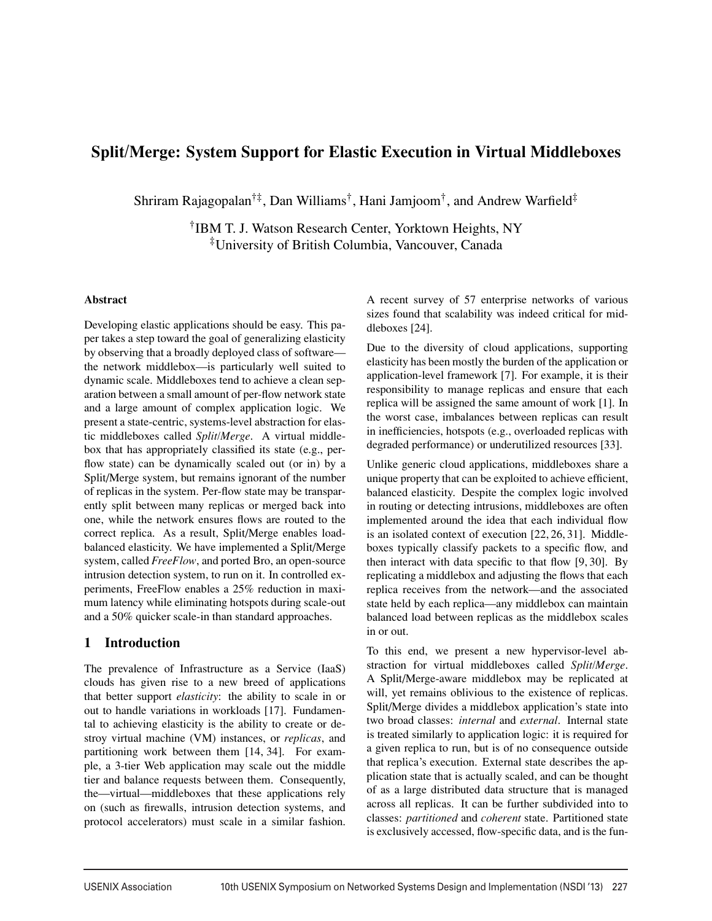# **Split/Merge: System Support for Elastic Execution in Virtual Middleboxes**

Shriram Rajagopalan<sup>†‡</sup>, Dan Williams<sup>†</sup>, Hani Jamjoom<sup>†</sup>, and Andrew Warfield<sup>‡</sup>

†IBM T. J. Watson Research Center, Yorktown Heights, NY ‡University of British Columbia, Vancouver, Canada

### **Abstract**

Developing elastic applications should be easy. This paper takes a step toward the goal of generalizing elasticity by observing that a broadly deployed class of software the network middlebox—is particularly well suited to dynamic scale. Middleboxes tend to achieve a clean separation between a small amount of per-flow network state and a large amount of complex application logic. We present a state-centric, systems-level abstraction for elastic middleboxes called *Split/Merge*. A virtual middlebox that has appropriately classified its state (e.g., perflow state) can be dynamically scaled out (or in) by a Split/Merge system, but remains ignorant of the number of replicas in the system. Per-flow state may be transparently split between many replicas or merged back into one, while the network ensures flows are routed to the correct replica. As a result, Split/Merge enables loadbalanced elasticity. We have implemented a Split/Merge system, called *FreeFlow*, and ported Bro, an open-source intrusion detection system, to run on it. In controlled experiments, FreeFlow enables a 25% reduction in maximum latency while eliminating hotspots during scale-out and a 50% quicker scale-in than standard approaches.

## **1 Introduction**

The prevalence of Infrastructure as a Service (IaaS) clouds has given rise to a new breed of applications that better support *elasticity*: the ability to scale in or out to handle variations in workloads [17]. Fundamental to achieving elasticity is the ability to create or destroy virtual machine (VM) instances, or *replicas*, and partitioning work between them [14, 34]. For example, a 3-tier Web application may scale out the middle tier and balance requests between them. Consequently, the—virtual—middleboxes that these applications rely on (such as firewalls, intrusion detection systems, and protocol accelerators) must scale in a similar fashion.

A recent survey of 57 enterprise networks of various sizes found that scalability was indeed critical for middleboxes [24].

Due to the diversity of cloud applications, supporting elasticity has been mostly the burden of the application or application-level framework [7]. For example, it is their responsibility to manage replicas and ensure that each replica will be assigned the same amount of work [1]. In the worst case, imbalances between replicas can result in inefficiencies, hotspots (e.g., overloaded replicas with degraded performance) or underutilized resources [33].

Unlike generic cloud applications, middleboxes share a unique property that can be exploited to achieve efficient, balanced elasticity. Despite the complex logic involved in routing or detecting intrusions, middleboxes are often implemented around the idea that each individual flow is an isolated context of execution [22, 26, 31]. Middleboxes typically classify packets to a specific flow, and then interact with data specific to that flow [9, 30]. By replicating a middlebox and adjusting the flows that each replica receives from the network—and the associated state held by each replica—any middlebox can maintain balanced load between replicas as the middlebox scales in or out.

To this end, we present a new hypervisor-level abstraction for virtual middleboxes called *Split/Merge*. A Split/Merge-aware middlebox may be replicated at will, yet remains oblivious to the existence of replicas. Split/Merge divides a middlebox application's state into two broad classes: *internal* and *external*. Internal state is treated similarly to application logic: it is required for a given replica to run, but is of no consequence outside that replica's execution. External state describes the application state that is actually scaled, and can be thought of as a large distributed data structure that is managed across all replicas. It can be further subdivided into to classes: *partitioned* and *coherent* state. Partitioned state is exclusively accessed, flow-specific data, and is the fun-

<u>.</u>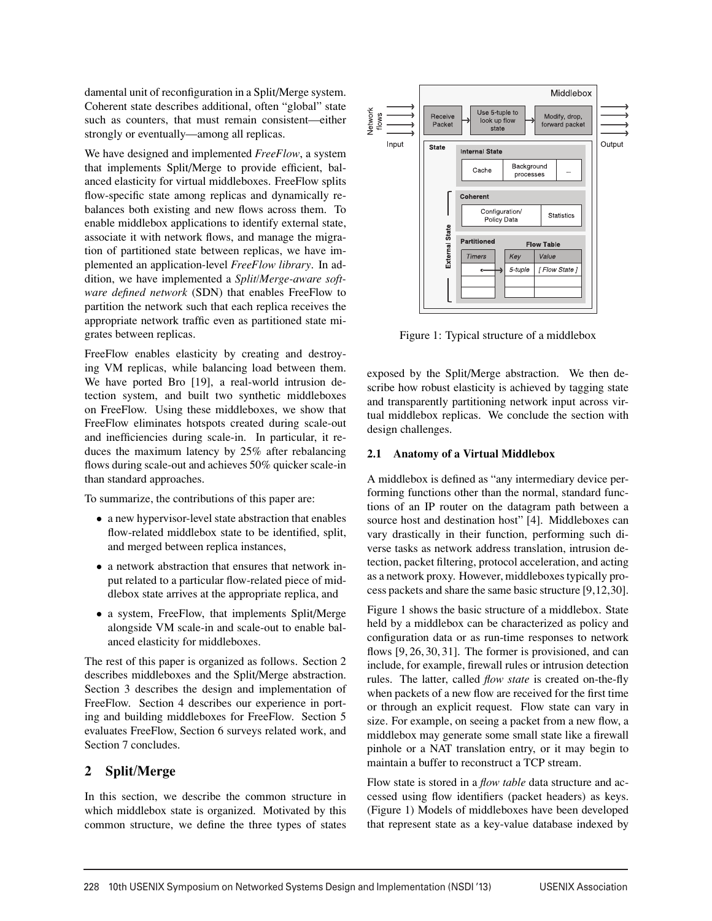damental unit of reconfiguration in a Split/Merge system. Coherent state describes additional, often "global" state such as counters, that must remain consistent—either strongly or eventually—among all replicas.

We have designed and implemented *FreeFlow*, a system that implements Split/Merge to provide efficient, balanced elasticity for virtual middleboxes. FreeFlow splits flow-specific state among replicas and dynamically rebalances both existing and new flows across them. To enable middlebox applications to identify external state, associate it with network flows, and manage the migration of partitioned state between replicas, we have implemented an application-level *FreeFlow library*. In addition, we have implemented a *Split/Merge-aware software defined network* (SDN) that enables FreeFlow to partition the network such that each replica receives the appropriate network traffic even as partitioned state migrates between replicas.

FreeFlow enables elasticity by creating and destroying VM replicas, while balancing load between them. We have ported Bro [19], a real-world intrusion detection system, and built two synthetic middleboxes on FreeFlow. Using these middleboxes, we show that FreeFlow eliminates hotspots created during scale-out and inefficiencies during scale-in. In particular, it reduces the maximum latency by 25% after rebalancing flows during scale-out and achieves 50% quicker scale-in than standard approaches.

To summarize, the contributions of this paper are:

- a new hypervisor-level state abstraction that enables flow-related middlebox state to be identified, split, and merged between replica instances,
- a network abstraction that ensures that network input related to a particular flow-related piece of middlebox state arrives at the appropriate replica, and
- a system, FreeFlow, that implements Split/Merge alongside VM scale-in and scale-out to enable balanced elasticity for middleboxes.

The rest of this paper is organized as follows. Section 2 describes middleboxes and the Split/Merge abstraction. Section 3 describes the design and implementation of FreeFlow. Section 4 describes our experience in porting and building middleboxes for FreeFlow. Section 5 evaluates FreeFlow, Section 6 surveys related work, and Section 7 concludes.

## **2 Split/Merge**

In this section, we describe the common structure in which middlebox state is organized. Motivated by this common structure, we define the three types of states



Figure 1: Typical structure of a middlebox

exposed by the Split/Merge abstraction. We then describe how robust elasticity is achieved by tagging state and transparently partitioning network input across virtual middlebox replicas. We conclude the section with design challenges.

#### **2.1 Anatomy of a Virtual Middlebox**

A middlebox is defined as "any intermediary device performing functions other than the normal, standard functions of an IP router on the datagram path between a source host and destination host" [4]. Middleboxes can vary drastically in their function, performing such diverse tasks as network address translation, intrusion detection, packet filtering, protocol acceleration, and acting as a network proxy. However, middleboxes typically process packets and share the same basic structure [9,12,30].

Figure 1 shows the basic structure of a middlebox. State held by a middlebox can be characterized as policy and configuration data or as run-time responses to network flows [9, 26, 30, 31]. The former is provisioned, and can include, for example, firewall rules or intrusion detection rules. The latter, called *flow state* is created on-the-fly when packets of a new flow are received for the first time or through an explicit request. Flow state can vary in size. For example, on seeing a packet from a new flow, a middlebox may generate some small state like a firewall pinhole or a NAT translation entry, or it may begin to maintain a buffer to reconstruct a TCP stream.

Flow state is stored in a *flow table* data structure and accessed using flow identifiers (packet headers) as keys. (Figure 1) Models of middleboxes have been developed that represent state as a key-value database indexed by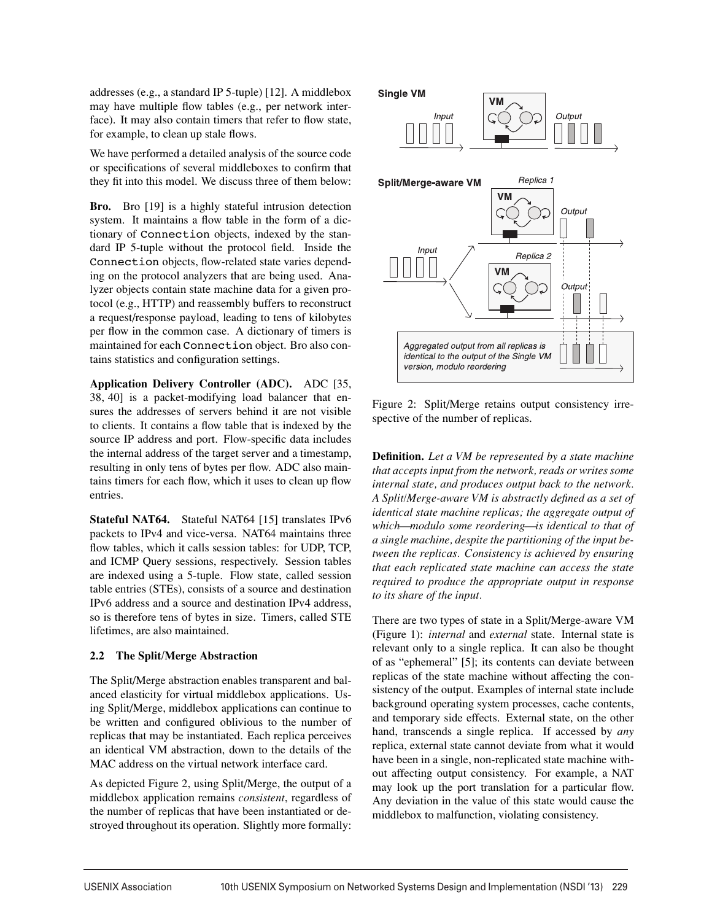addresses (e.g., a standard IP 5-tuple) [12]. A middlebox may have multiple flow tables (e.g., per network interface). It may also contain timers that refer to flow state, for example, to clean up stale flows.

We have performed a detailed analysis of the source code or specifications of several middleboxes to confirm that they fit into this model. We discuss three of them below:

**Bro.** Bro [19] is a highly stateful intrusion detection system. It maintains a flow table in the form of a dictionary of Connection objects, indexed by the standard IP 5-tuple without the protocol field. Inside the Connection objects, flow-related state varies depending on the protocol analyzers that are being used. Analyzer objects contain state machine data for a given protocol (e.g., HTTP) and reassembly buffers to reconstruct a request/response payload, leading to tens of kilobytes per flow in the common case. A dictionary of timers is maintained for each Connection object. Bro also contains statistics and configuration settings.

**Application Delivery Controller (ADC).** ADC [35, 38, 40] is a packet-modifying load balancer that ensures the addresses of servers behind it are not visible to clients. It contains a flow table that is indexed by the source IP address and port. Flow-specific data includes the internal address of the target server and a timestamp, resulting in only tens of bytes per flow. ADC also maintains timers for each flow, which it uses to clean up flow entries.

**Stateful NAT64.** Stateful NAT64 [15] translates IPv6 packets to IPv4 and vice-versa. NAT64 maintains three flow tables, which it calls session tables: for UDP, TCP, and ICMP Query sessions, respectively. Session tables are indexed using a 5-tuple. Flow state, called session table entries (STEs), consists of a source and destination IPv6 address and a source and destination IPv4 address, so is therefore tens of bytes in size. Timers, called STE lifetimes, are also maintained.

## **2.2 The Split/Merge Abstraction**

The Split/Merge abstraction enables transparent and balanced elasticity for virtual middlebox applications. Using Split/Merge, middlebox applications can continue to be written and configured oblivious to the number of replicas that may be instantiated. Each replica perceives an identical VM abstraction, down to the details of the MAC address on the virtual network interface card.

As depicted Figure 2, using Split/Merge, the output of a middlebox application remains *consistent*, regardless of the number of replicas that have been instantiated or destroyed throughout its operation. Slightly more formally:



Figure 2: Split/Merge retains output consistency irrespective of the number of replicas.

**Definition.** *Let a VM be represented by a state machine that accepts input from the network, reads or writes some internal state, and produces output back to the network. A Split/Merge-aware VM is abstractly defined as a set of identical state machine replicas; the aggregate output of which—modulo some reordering—is identical to that of a single machine, despite the partitioning of the input between the replicas. Consistency is achieved by ensuring that each replicated state machine can access the state required to produce the appropriate output in response to its share of the input.*

There are two types of state in a Split/Merge-aware VM (Figure 1): *internal* and *external* state. Internal state is relevant only to a single replica. It can also be thought of as "ephemeral" [5]; its contents can deviate between replicas of the state machine without affecting the consistency of the output. Examples of internal state include background operating system processes, cache contents, and temporary side effects. External state, on the other hand, transcends a single replica. If accessed by *any* replica, external state cannot deviate from what it would have been in a single, non-replicated state machine without affecting output consistency. For example, a NAT may look up the port translation for a particular flow. Any deviation in the value of this state would cause the middlebox to malfunction, violating consistency.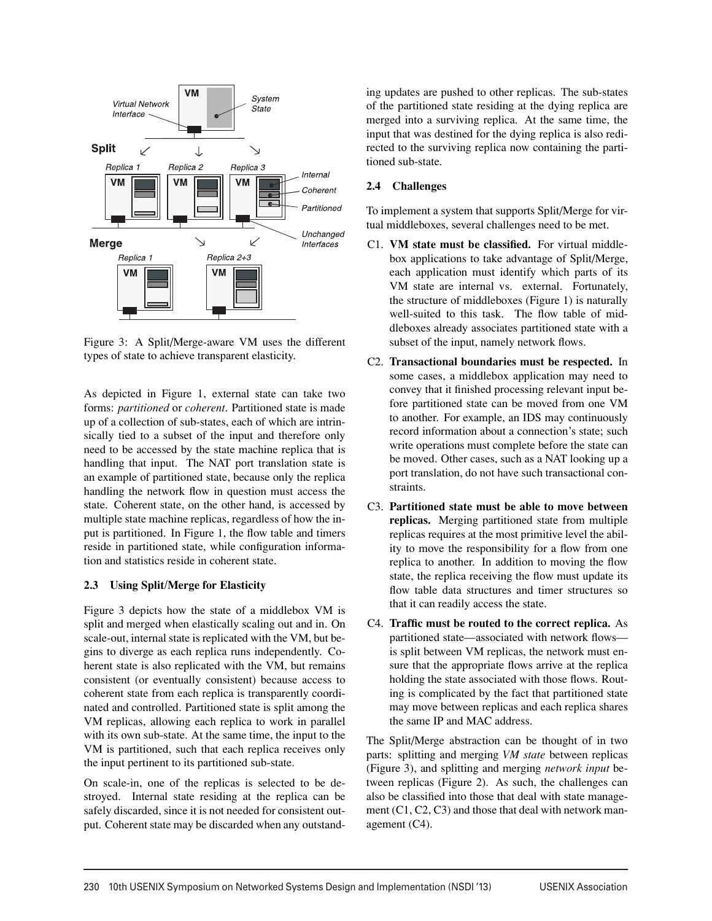

Figure 3: A Split/Merge-aware VM uses the different types of state to achieve transparent elasticity.

As depicted in Figure 1, external state can take two forms: *partitioned* or *coherent*. Partitioned state is made up of a collection of sub-states, each of which are intrinsically tied to a subset of the input and therefore only need to be accessed by the state machine replica that is handling that input. The NAT port translation state is an example of partitioned state, because only the replica handling the network flow in question must access the state. Coherent state, on the other hand, is accessed by multiple state machine replicas, regardless of how the input is partitioned. In Figure 1, the flow table and timers reside in partitioned state, while configuration information and statistics reside in coherent state.

## **2.3 Using Split/Merge for Elasticity**

Figure 3 depicts how the state of a middlebox VM is split and merged when elastically scaling out and in. On scale-out, internal state is replicated with the VM, but begins to diverge as each replica runs independently. Coherent state is also replicated with the VM, but remains consistent (or eventually consistent) because access to coherent state from each replica is transparently coordinated and controlled. Partitioned state is split among the VM replicas, allowing each replica to work in parallel with its own sub-state. At the same time, the input to the VM is partitioned, such that each replica receives only the input pertinent to its partitioned sub-state.

On scale-in, one of the replicas is selected to be destroyed. Internal state residing at the replica can be safely discarded, since it is not needed for consistent output. Coherent state may be discarded when any outstanding updates are pushed to other replicas. The sub-states of the partitioned state residing at the dying replica are merged into a surviving replica. At the same time, the input that was destined for the dying replica is also redirected to the surviving replica now containing the partitioned sub-state.

## **2.4 Challenges**

To implement a system that supports Split/Merge for virtual middleboxes, several challenges need to be met.

- C1. **VM state must be classified.** For virtual middlebox applications to take advantage of Split/Merge, each application must identify which parts of its VM state are internal vs. external. Fortunately, the structure of middleboxes (Figure 1) is naturally well-suited to this task. The flow table of middleboxes already associates partitioned state with a subset of the input, namely network flows.
- C2. **Transactional boundaries must be respected.** In some cases, a middlebox application may need to convey that it finished processing relevant input before partitioned state can be moved from one VM to another. For example, an IDS may continuously record information about a connection's state; such write operations must complete before the state can be moved. Other cases, such as a NAT looking up a port translation, do not have such transactional constraints.
- C3. **Partitioned state must be able to move between replicas.** Merging partitioned state from multiple replicas requires at the most primitive level the ability to move the responsibility for a flow from one replica to another. In addition to moving the flow state, the replica receiving the flow must update its flow table data structures and timer structures so that it can readily access the state.
- C4. **Traffic must be routed to the correct replica.** As partitioned state—associated with network flows is split between VM replicas, the network must ensure that the appropriate flows arrive at the replica holding the state associated with those flows. Routing is complicated by the fact that partitioned state may move between replicas and each replica shares the same IP and MAC address.

The Split/Merge abstraction can be thought of in two parts: splitting and merging *VM state* between replicas (Figure 3), and splitting and merging *network input* between replicas (Figure 2). As such, the challenges can also be classified into those that deal with state management (C1, C2, C3) and those that deal with network management (C4).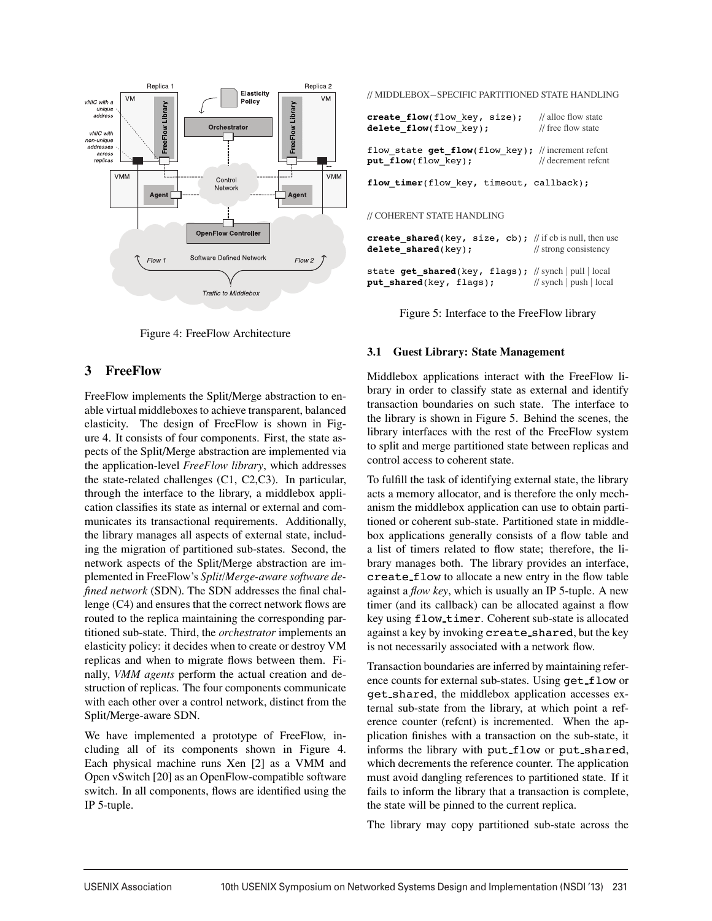

Figure 4: FreeFlow Architecture

## **3 FreeFlow**

FreeFlow implements the Split/Merge abstraction to enable virtual middleboxes to achieve transparent, balanced elasticity. The design of FreeFlow is shown in Figure 4. It consists of four components. First, the state aspects of the Split/Merge abstraction are implemented via the application-level *FreeFlow library*, which addresses the state-related challenges (C1, C2,C3). In particular, through the interface to the library, a middlebox application classifies its state as internal or external and communicates its transactional requirements. Additionally, the library manages all aspects of external state, including the migration of partitioned sub-states. Second, the network aspects of the Split/Merge abstraction are implemented in FreeFlow's *Split/Merge-aware software defined network* (SDN). The SDN addresses the final challenge (C4) and ensures that the correct network flows are routed to the replica maintaining the corresponding partitioned sub-state. Third, the *orchestrator* implements an elasticity policy: it decides when to create or destroy VM replicas and when to migrate flows between them. Finally, *VMM agents* perform the actual creation and destruction of replicas. The four components communicate with each other over a control network, distinct from the Split/Merge-aware SDN.

We have implemented a prototype of FreeFlow, including all of its components shown in Figure 4. Each physical machine runs Xen [2] as a VMM and Open vSwitch [20] as an OpenFlow-compatible software switch. In all components, flows are identified using the IP 5-tuple.

// MIDDLEBOX−SPECIFIC PARTITIONED STATE HANDLING

| create flow(flow key, size); | // alloc flow state             |
|------------------------------|---------------------------------|
| delete flow(flow key);       | $\frac{1}{\pi}$ free flow state |

flow state  $get\ flow(flow\ key)$ ; // increment refcnt **put\_flow**(flow\_key); // decrement refcnt

**flow\_timer**(flow\_key, timeout, callback);

#### // COHERENT STATE HANDLING

**create\_shared**(key, size, cb); // if cb is null, then use<br>**delete\_shared**(key); // strong consistency  $delete\_shared(key);$ state get shared(key, flags); // synch | pull | local **put\_shared**(key, flags); // synch | push | local

Figure 5: Interface to the FreeFlow library

### **3.1 Guest Library: State Management**

Middlebox applications interact with the FreeFlow library in order to classify state as external and identify transaction boundaries on such state. The interface to the library is shown in Figure 5. Behind the scenes, the library interfaces with the rest of the FreeFlow system to split and merge partitioned state between replicas and control access to coherent state.

To fulfill the task of identifying external state, the library acts a memory allocator, and is therefore the only mechanism the middlebox application can use to obtain partitioned or coherent sub-state. Partitioned state in middlebox applications generally consists of a flow table and a list of timers related to flow state; therefore, the library manages both. The library provides an interface, create flow to allocate a new entry in the flow table against a *flow key*, which is usually an IP 5-tuple. A new timer (and its callback) can be allocated against a flow key using flow timer. Coherent sub-state is allocated against a key by invoking create shared, but the key is not necessarily associated with a network flow.

Transaction boundaries are inferred by maintaining reference counts for external sub-states. Using get\_flow or get shared, the middlebox application accesses external sub-state from the library, at which point a reference counter (refcnt) is incremented. When the application finishes with a transaction on the sub-state, it informs the library with put flow or put shared, which decrements the reference counter. The application must avoid dangling references to partitioned state. If it fails to inform the library that a transaction is complete, the state will be pinned to the current replica.

The library may copy partitioned sub-state across the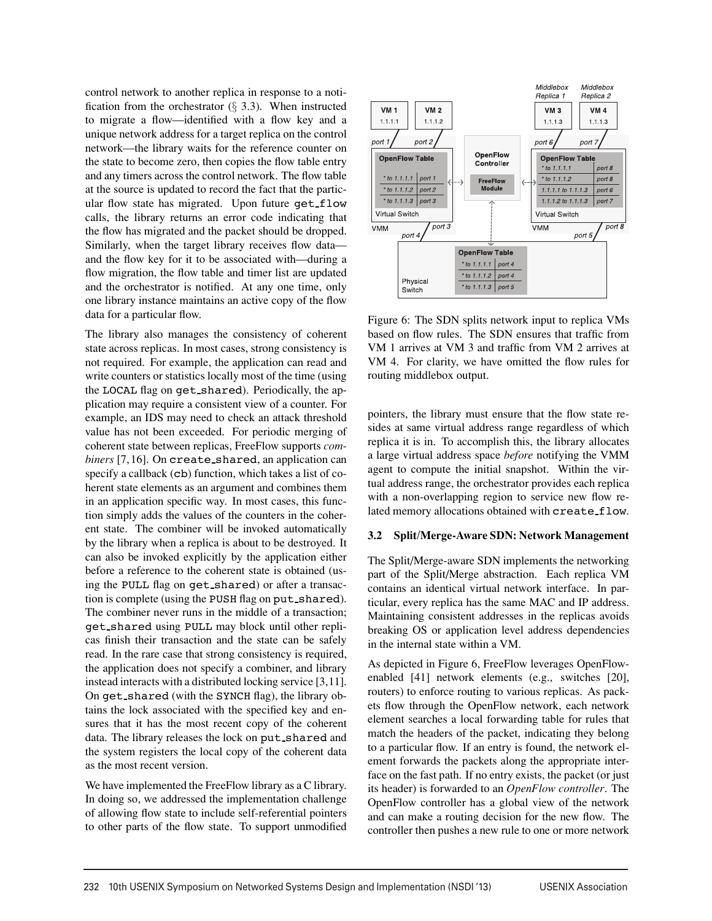control network to another replica in response to a notification from the orchestrator  $(\S$  3.3). When instructed to migrate a flow—identified with a flow key and a unique network address for a target replica on the control network—the library waits for the reference counter on the state to become zero, then copies the flow table entry and any timers across the control network. The flow table at the source is updated to record the fact that the particular flow state has migrated. Upon future get\_flow calls, the library returns an error code indicating that the flow has migrated and the packet should be dropped. Similarly, when the target library receives flow data and the flow key for it to be associated with—during a flow migration, the flow table and timer list are updated and the orchestrator is notified. At any one time, only one library instance maintains an active copy of the flow data for a particular flow.

The library also manages the consistency of coherent state across replicas. In most cases, strong consistency is not required. For example, the application can read and write counters or statistics locally most of the time (using the LOCAL flag on get shared). Periodically, the application may require a consistent view of a counter. For example, an IDS may need to check an attack threshold value has not been exceeded. For periodic merging of coherent state between replicas, FreeFlow supports *combiners* [7,16]. On create shared, an application can specify a callback (cb) function, which takes a list of coherent state elements as an argument and combines them in an application specific way. In most cases, this function simply adds the values of the counters in the coherent state. The combiner will be invoked automatically by the library when a replica is about to be destroyed. It can also be invoked explicitly by the application either before a reference to the coherent state is obtained (using the PULL flag on get shared) or after a transaction is complete (using the PUSH flag on put shared). The combiner never runs in the middle of a transaction; get shared using PULL may block until other replicas finish their transaction and the state can be safely read. In the rare case that strong consistency is required, the application does not specify a combiner, and library instead interacts with a distributed locking service [3,11]. On get shared (with the SYNCH flag), the library obtains the lock associated with the specified key and ensures that it has the most recent copy of the coherent data. The library releases the lock on put shared and the system registers the local copy of the coherent data as the most recent version.

We have implemented the FreeFlow library as a C library. In doing so, we addressed the implementation challenge of allowing flow state to include self-referential pointers to other parts of the flow state. To support unmodified



Figure 6: The SDN splits network input to replica VMs based on flow rules. The SDN ensures that traffic from VM 1 arrives at VM 3 and traffic from VM 2 arrives at VM 4. For clarity, we have omitted the flow rules for routing middlebox output.

pointers, the library must ensure that the flow state resides at same virtual address range regardless of which replica it is in. To accomplish this, the library allocates a large virtual address space *before* notifying the VMM agent to compute the initial snapshot. Within the virtual address range, the orchestrator provides each replica with a non-overlapping region to service new flow related memory allocations obtained with create\_flow.

#### **3.2 Split/Merge-Aware SDN: Network Management**

The Split/Merge-aware SDN implements the networking part of the Split/Merge abstraction. Each replica VM contains an identical virtual network interface. In particular, every replica has the same MAC and IP address. Maintaining consistent addresses in the replicas avoids breaking OS or application level address dependencies in the internal state within a VM.

As depicted in Figure 6, FreeFlow leverages OpenFlowenabled [41] network elements (e.g., switches [20], routers) to enforce routing to various replicas. As packets flow through the OpenFlow network, each network element searches a local forwarding table for rules that match the headers of the packet, indicating they belong to a particular flow. If an entry is found, the network element forwards the packets along the appropriate interface on the fast path. If no entry exists, the packet (or just its header) is forwarded to an *OpenFlow controller*. The OpenFlow controller has a global view of the network and can make a routing decision for the new flow. The controller then pushes a new rule to one or more network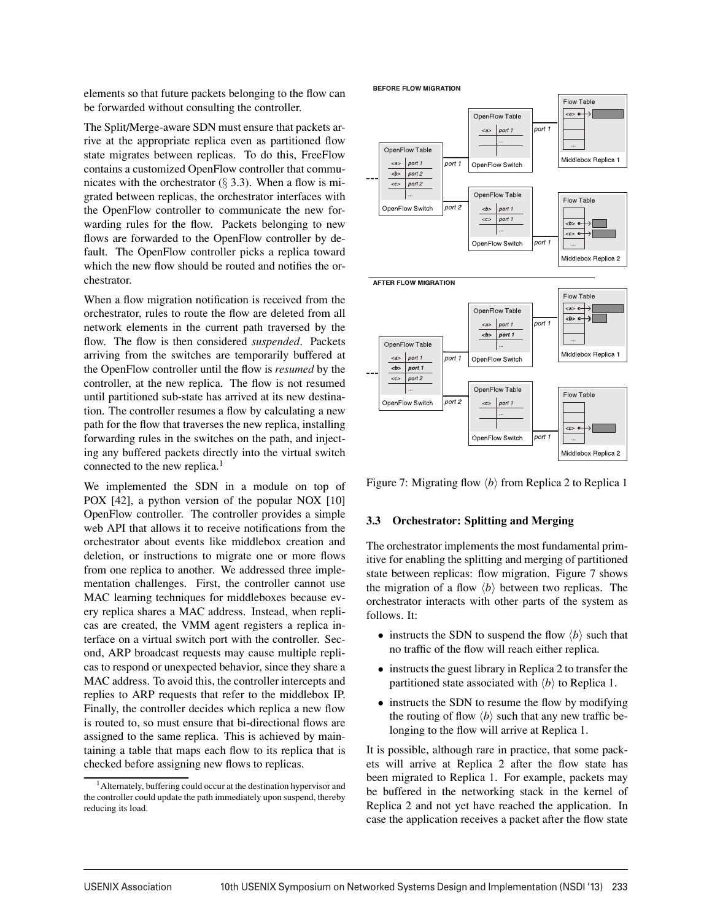elements so that future packets belonging to the flow can be forwarded without consulting the controller.

The Split/Merge-aware SDN must ensure that packets arrive at the appropriate replica even as partitioned flow state migrates between replicas. To do this, FreeFlow contains a customized OpenFlow controller that communicates with the orchestrator  $(\S$  3.3). When a flow is migrated between replicas, the orchestrator interfaces with the OpenFlow controller to communicate the new forwarding rules for the flow. Packets belonging to new flows are forwarded to the OpenFlow controller by default. The OpenFlow controller picks a replica toward which the new flow should be routed and notifies the orchestrator.

When a flow migration notification is received from the orchestrator, rules to route the flow are deleted from all network elements in the current path traversed by the flow. The flow is then considered *suspended*. Packets arriving from the switches are temporarily buffered at the OpenFlow controller until the flow is *resumed* by the controller, at the new replica. The flow is not resumed until partitioned sub-state has arrived at its new destination. The controller resumes a flow by calculating a new path for the flow that traverses the new replica, installing forwarding rules in the switches on the path, and injecting any buffered packets directly into the virtual switch connected to the new replica.<sup>1</sup>

We implemented the SDN in a module on top of POX [42], a python version of the popular NOX [10] OpenFlow controller. The controller provides a simple web API that allows it to receive notifications from the orchestrator about events like middlebox creation and deletion, or instructions to migrate one or more flows from one replica to another. We addressed three implementation challenges. First, the controller cannot use MAC learning techniques for middleboxes because every replica shares a MAC address. Instead, when replicas are created, the VMM agent registers a replica interface on a virtual switch port with the controller. Second, ARP broadcast requests may cause multiple replicas to respond or unexpected behavior, since they share a MAC address. To avoid this, the controller intercepts and replies to ARP requests that refer to the middlebox IP. Finally, the controller decides which replica a new flow is routed to, so must ensure that bi-directional flows are assigned to the same replica. This is achieved by maintaining a table that maps each flow to its replica that is checked before assigning new flows to replicas.



Figure 7: Migrating flow  $\langle b \rangle$  from Replica 2 to Replica 1

#### **3.3 Orchestrator: Splitting and Merging**

The orchestrator implements the most fundamental primitive for enabling the splitting and merging of partitioned state between replicas: flow migration. Figure 7 shows the migration of a flow  $\langle b \rangle$  between two replicas. The orchestrator interacts with other parts of the system as follows. It:

- instructs the SDN to suspend the flow  $\langle b \rangle$  such that no traffic of the flow will reach either replica.
- instructs the guest library in Replica 2 to transfer the partitioned state associated with  $\langle b \rangle$  to Replica 1.
- instructs the SDN to resume the flow by modifying the routing of flow  $\langle b \rangle$  such that any new traffic belonging to the flow will arrive at Replica 1.

It is possible, although rare in practice, that some packets will arrive at Replica 2 after the flow state has been migrated to Replica 1. For example, packets may be buffered in the networking stack in the kernel of Replica 2 and not yet have reached the application. In case the application receives a packet after the flow state

 $<sup>1</sup>$  Alternately, buffering could occur at the destination hypervisor and</sup> the controller could update the path immediately upon suspend, thereby reducing its load.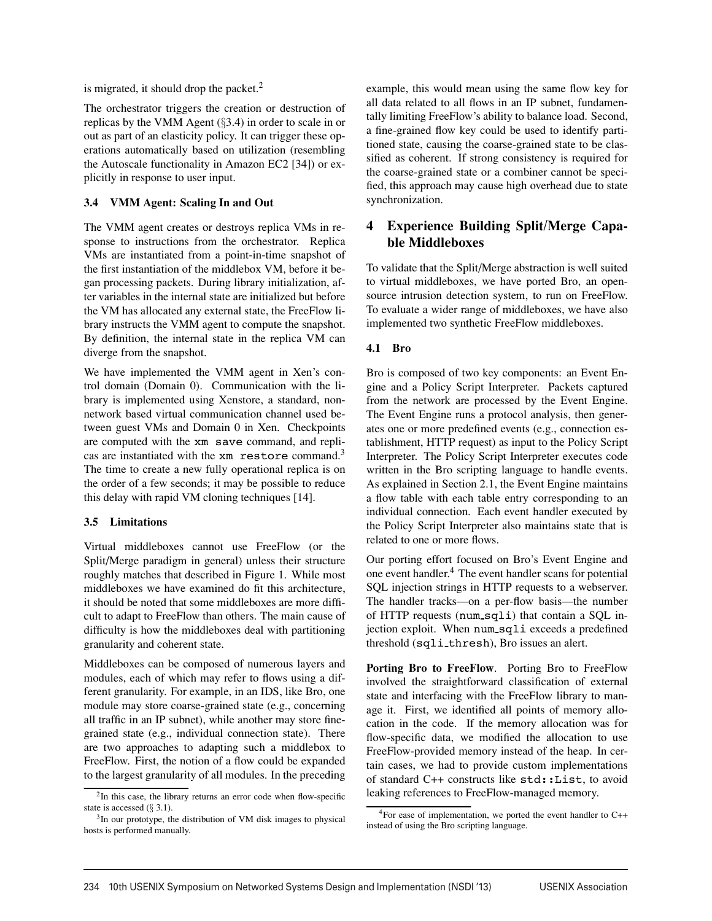is migrated, it should drop the packet. $<sup>2</sup>$ </sup>

The orchestrator triggers the creation or destruction of replicas by the VMM Agent (§3.4) in order to scale in or out as part of an elasticity policy. It can trigger these operations automatically based on utilization (resembling the Autoscale functionality in Amazon EC2 [34]) or explicitly in response to user input.

#### **3.4 VMM Agent: Scaling In and Out**

The VMM agent creates or destroys replica VMs in response to instructions from the orchestrator. Replica VMs are instantiated from a point-in-time snapshot of the first instantiation of the middlebox VM, before it began processing packets. During library initialization, after variables in the internal state are initialized but before the VM has allocated any external state, the FreeFlow library instructs the VMM agent to compute the snapshot. By definition, the internal state in the replica VM can diverge from the snapshot.

We have implemented the VMM agent in Xen's control domain (Domain 0). Communication with the library is implemented using Xenstore, a standard, nonnetwork based virtual communication channel used between guest VMs and Domain 0 in Xen. Checkpoints are computed with the xm save command, and replicas are instantiated with the xm restore command.<sup>3</sup> The time to create a new fully operational replica is on the order of a few seconds; it may be possible to reduce this delay with rapid VM cloning techniques [14].

#### **3.5 Limitations**

Virtual middleboxes cannot use FreeFlow (or the Split/Merge paradigm in general) unless their structure roughly matches that described in Figure 1. While most middleboxes we have examined do fit this architecture, it should be noted that some middleboxes are more difficult to adapt to FreeFlow than others. The main cause of difficulty is how the middleboxes deal with partitioning granularity and coherent state.

Middleboxes can be composed of numerous layers and modules, each of which may refer to flows using a different granularity. For example, in an IDS, like Bro, one module may store coarse-grained state (e.g., concerning all traffic in an IP subnet), while another may store finegrained state (e.g., individual connection state). There are two approaches to adapting such a middlebox to FreeFlow. First, the notion of a flow could be expanded to the largest granularity of all modules. In the preceding example, this would mean using the same flow key for all data related to all flows in an IP subnet, fundamentally limiting FreeFlow's ability to balance load. Second, a fine-grained flow key could be used to identify partitioned state, causing the coarse-grained state to be classified as coherent. If strong consistency is required for the coarse-grained state or a combiner cannot be specified, this approach may cause high overhead due to state synchronization.

## **4 Experience Building Split/Merge Capable Middleboxes**

To validate that the Split/Merge abstraction is well suited to virtual middleboxes, we have ported Bro, an opensource intrusion detection system, to run on FreeFlow. To evaluate a wider range of middleboxes, we have also implemented two synthetic FreeFlow middleboxes.

## **4.1 Bro**

Bro is composed of two key components: an Event Engine and a Policy Script Interpreter. Packets captured from the network are processed by the Event Engine. The Event Engine runs a protocol analysis, then generates one or more predefined events (e.g., connection establishment, HTTP request) as input to the Policy Script Interpreter. The Policy Script Interpreter executes code written in the Bro scripting language to handle events. As explained in Section 2.1, the Event Engine maintains a flow table with each table entry corresponding to an individual connection. Each event handler executed by the Policy Script Interpreter also maintains state that is related to one or more flows.

Our porting effort focused on Bro's Event Engine and one event handler.<sup>4</sup> The event handler scans for potential SQL injection strings in HTTP requests to a webserver. The handler tracks—on a per-flow basis—the number of HTTP requests (num\_sqli) that contain a SQL injection exploit. When num sqli exceeds a predefined threshold (sqli thresh), Bro issues an alert.

**Porting Bro to FreeFlow**. Porting Bro to FreeFlow involved the straightforward classification of external state and interfacing with the FreeFlow library to manage it. First, we identified all points of memory allocation in the code. If the memory allocation was for flow-specific data, we modified the allocation to use FreeFlow-provided memory instead of the heap. In certain cases, we had to provide custom implementations of standard C++ constructs like std::List, to avoid leaking references to FreeFlow-managed memory.

<sup>&</sup>lt;sup>2</sup>In this case, the library returns an error code when flow-specific state is accessed  $(\S 3.1)$ .

<sup>3</sup>In our prototype, the distribution of VM disk images to physical hosts is performed manually.

<sup>4</sup>For ease of implementation, we ported the event handler to C++ instead of using the Bro scripting language.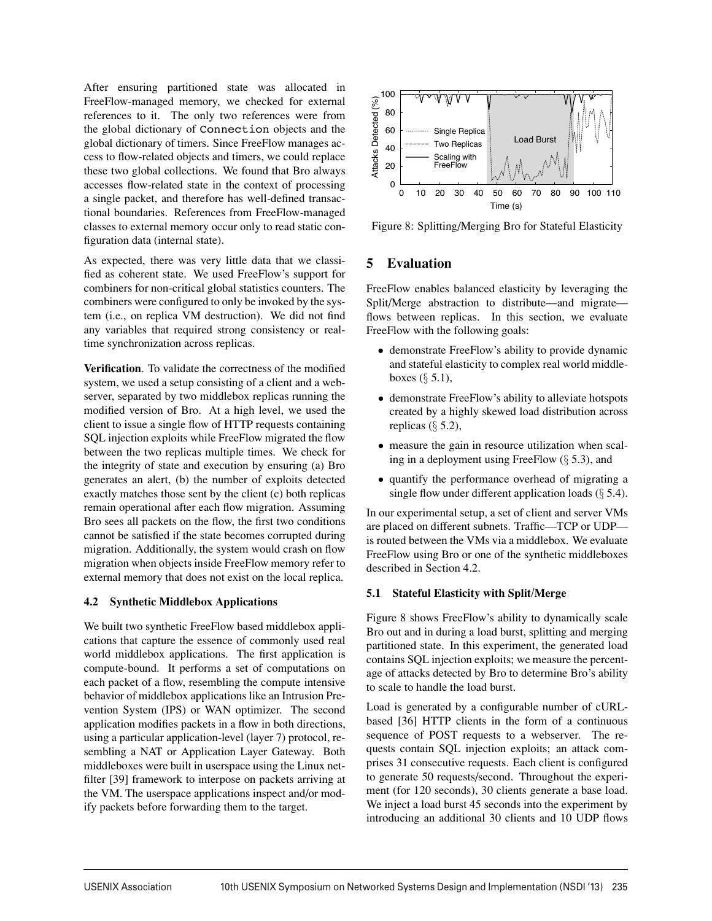After ensuring partitioned state was allocated in FreeFlow-managed memory, we checked for external references to it. The only two references were from the global dictionary of Connection objects and the global dictionary of timers. Since FreeFlow manages access to flow-related objects and timers, we could replace these two global collections. We found that Bro always accesses flow-related state in the context of processing a single packet, and therefore has well-defined transactional boundaries. References from FreeFlow-managed classes to external memory occur only to read static configuration data (internal state).

As expected, there was very little data that we classified as coherent state. We used FreeFlow's support for combiners for non-critical global statistics counters. The combiners were configured to only be invoked by the system (i.e., on replica VM destruction). We did not find any variables that required strong consistency or realtime synchronization across replicas.

**Verification**. To validate the correctness of the modified system, we used a setup consisting of a client and a webserver, separated by two middlebox replicas running the modified version of Bro. At a high level, we used the client to issue a single flow of HTTP requests containing SQL injection exploits while FreeFlow migrated the flow between the two replicas multiple times. We check for the integrity of state and execution by ensuring (a) Bro generates an alert, (b) the number of exploits detected exactly matches those sent by the client (c) both replicas remain operational after each flow migration. Assuming Bro sees all packets on the flow, the first two conditions cannot be satisfied if the state becomes corrupted during migration. Additionally, the system would crash on flow migration when objects inside FreeFlow memory refer to external memory that does not exist on the local replica.

## **4.2 Synthetic Middlebox Applications**

We built two synthetic FreeFlow based middlebox applications that capture the essence of commonly used real world middlebox applications. The first application is compute-bound. It performs a set of computations on each packet of a flow, resembling the compute intensive behavior of middlebox applications like an Intrusion Prevention System (IPS) or WAN optimizer. The second application modifies packets in a flow in both directions, using a particular application-level (layer 7) protocol, resembling a NAT or Application Layer Gateway. Both middleboxes were built in userspace using the Linux netfilter [39] framework to interpose on packets arriving at the VM. The userspace applications inspect and/or modify packets before forwarding them to the target.



Figure 8: Splitting/Merging Bro for Stateful Elasticity

## **5 Evaluation**

FreeFlow enables balanced elasticity by leveraging the Split/Merge abstraction to distribute—and migrate flows between replicas. In this section, we evaluate FreeFlow with the following goals:

- demonstrate FreeFlow's ability to provide dynamic and stateful elasticity to complex real world middleboxes  $(\S 5.1)$ ,
- demonstrate FreeFlow's ability to alleviate hotspots created by a highly skewed load distribution across replicas  $(\S 5.2)$ ,
- measure the gain in resource utilization when scaling in a deployment using FreeFlow (§ 5.3), and
- quantify the performance overhead of migrating a single flow under different application loads  $(\S 5.4)$ .

In our experimental setup, a set of client and server VMs are placed on different subnets. Traffic—TCP or UDP is routed between the VMs via a middlebox. We evaluate FreeFlow using Bro or one of the synthetic middleboxes described in Section 4.2.

## **5.1 Stateful Elasticity with Split/Merge**

Figure 8 shows FreeFlow's ability to dynamically scale Bro out and in during a load burst, splitting and merging partitioned state. In this experiment, the generated load contains SQL injection exploits; we measure the percentage of attacks detected by Bro to determine Bro's ability to scale to handle the load burst.

Load is generated by a configurable number of cURLbased [36] HTTP clients in the form of a continuous sequence of POST requests to a webserver. The requests contain SQL injection exploits; an attack comprises 31 consecutive requests. Each client is configured to generate 50 requests/second. Throughout the experiment (for 120 seconds), 30 clients generate a base load. We inject a load burst 45 seconds into the experiment by introducing an additional 30 clients and 10 UDP flows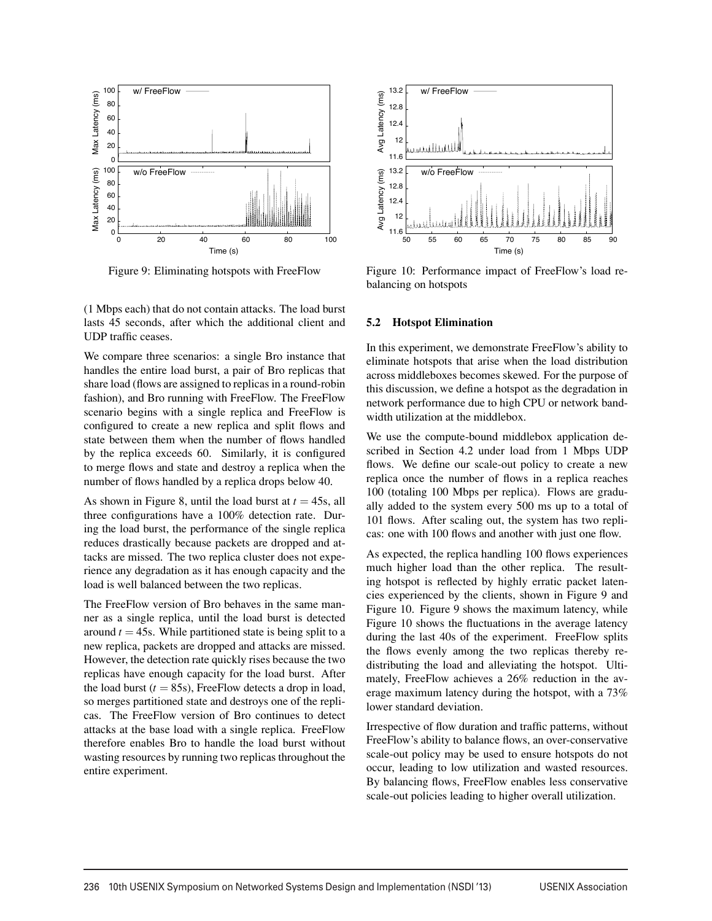

Figure 9: Eliminating hotspots with FreeFlow

(1 Mbps each) that do not contain attacks. The load burst lasts 45 seconds, after which the additional client and UDP traffic ceases.

We compare three scenarios: a single Bro instance that handles the entire load burst, a pair of Bro replicas that share load (flows are assigned to replicas in a round-robin fashion), and Bro running with FreeFlow. The FreeFlow scenario begins with a single replica and FreeFlow is configured to create a new replica and split flows and state between them when the number of flows handled by the replica exceeds 60. Similarly, it is configured to merge flows and state and destroy a replica when the number of flows handled by a replica drops below 40.

As shown in Figure 8, until the load burst at  $t = 45s$ , all three configurations have a 100% detection rate. During the load burst, the performance of the single replica reduces drastically because packets are dropped and attacks are missed. The two replica cluster does not experience any degradation as it has enough capacity and the load is well balanced between the two replicas.

The FreeFlow version of Bro behaves in the same manner as a single replica, until the load burst is detected around  $t = 45$ s. While partitioned state is being split to a new replica, packets are dropped and attacks are missed. However, the detection rate quickly rises because the two replicas have enough capacity for the load burst. After the load burst  $(t = 85s)$ , FreeFlow detects a drop in load, so merges partitioned state and destroys one of the replicas. The FreeFlow version of Bro continues to detect attacks at the base load with a single replica. FreeFlow therefore enables Bro to handle the load burst without wasting resources by running two replicas throughout the entire experiment.



Figure 10: Performance impact of FreeFlow's load rebalancing on hotspots

#### **5.2 Hotspot Elimination**

In this experiment, we demonstrate FreeFlow's ability to eliminate hotspots that arise when the load distribution across middleboxes becomes skewed. For the purpose of this discussion, we define a hotspot as the degradation in network performance due to high CPU or network bandwidth utilization at the middlebox.

We use the compute-bound middlebox application described in Section 4.2 under load from 1 Mbps UDP flows. We define our scale-out policy to create a new replica once the number of flows in a replica reaches 100 (totaling 100 Mbps per replica). Flows are gradually added to the system every 500 ms up to a total of 101 flows. After scaling out, the system has two replicas: one with 100 flows and another with just one flow.

As expected, the replica handling 100 flows experiences much higher load than the other replica. The resulting hotspot is reflected by highly erratic packet latencies experienced by the clients, shown in Figure 9 and Figure 10. Figure 9 shows the maximum latency, while Figure 10 shows the fluctuations in the average latency during the last 40s of the experiment. FreeFlow splits the flows evenly among the two replicas thereby redistributing the load and alleviating the hotspot. Ultimately, FreeFlow achieves a 26% reduction in the average maximum latency during the hotspot, with a 73% lower standard deviation.

Irrespective of flow duration and traffic patterns, without FreeFlow's ability to balance flows, an over-conservative scale-out policy may be used to ensure hotspots do not occur, leading to low utilization and wasted resources. By balancing flows, FreeFlow enables less conservative scale-out policies leading to higher overall utilization.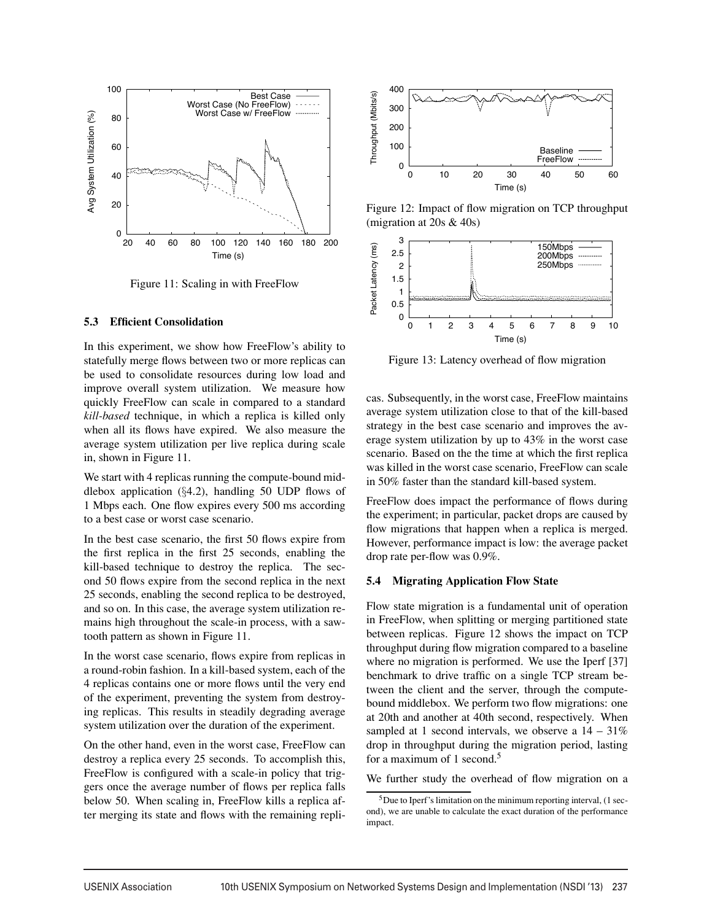

Figure 11: Scaling in with FreeFlow

#### **5.3 Efficient Consolidation**

In this experiment, we show how FreeFlow's ability to statefully merge flows between two or more replicas can be used to consolidate resources during low load and improve overall system utilization. We measure how quickly FreeFlow can scale in compared to a standard *kill-based* technique, in which a replica is killed only when all its flows have expired. We also measure the average system utilization per live replica during scale in, shown in Figure 11.

We start with 4 replicas running the compute-bound middlebox application  $(\S4.2)$ , handling 50 UDP flows of 1 Mbps each. One flow expires every 500 ms according to a best case or worst case scenario.

In the best case scenario, the first 50 flows expire from the first replica in the first 25 seconds, enabling the kill-based technique to destroy the replica. The second 50 flows expire from the second replica in the next 25 seconds, enabling the second replica to be destroyed, and so on. In this case, the average system utilization remains high throughout the scale-in process, with a sawtooth pattern as shown in Figure 11.

In the worst case scenario, flows expire from replicas in a round-robin fashion. In a kill-based system, each of the 4 replicas contains one or more flows until the very end of the experiment, preventing the system from destroying replicas. This results in steadily degrading average system utilization over the duration of the experiment.

On the other hand, even in the worst case, FreeFlow can destroy a replica every 25 seconds. To accomplish this, FreeFlow is configured with a scale-in policy that triggers once the average number of flows per replica falls below 50. When scaling in, FreeFlow kills a replica after merging its state and flows with the remaining repli-



Figure 12: Impact of flow migration on TCP throughput (migration at 20s & 40s)



Figure 13: Latency overhead of flow migration

cas. Subsequently, in the worst case, FreeFlow maintains average system utilization close to that of the kill-based strategy in the best case scenario and improves the average system utilization by up to 43% in the worst case scenario. Based on the the time at which the first replica was killed in the worst case scenario, FreeFlow can scale in 50% faster than the standard kill-based system.

FreeFlow does impact the performance of flows during the experiment; in particular, packet drops are caused by flow migrations that happen when a replica is merged. However, performance impact is low: the average packet drop rate per-flow was 0.9%.

#### **5.4 Migrating Application Flow State**

Flow state migration is a fundamental unit of operation in FreeFlow, when splitting or merging partitioned state between replicas. Figure 12 shows the impact on TCP throughput during flow migration compared to a baseline where no migration is performed. We use the Iperf [37] benchmark to drive traffic on a single TCP stream between the client and the server, through the computebound middlebox. We perform two flow migrations: one at 20th and another at 40th second, respectively. When sampled at 1 second intervals, we observe a  $14 - 31\%$ drop in throughput during the migration period, lasting for a maximum of 1 second.<sup>5</sup>

We further study the overhead of flow migration on a

<sup>5</sup>Due to Iperf's limitation on the minimum reporting interval, (1 second), we are unable to calculate the exact duration of the performance impact.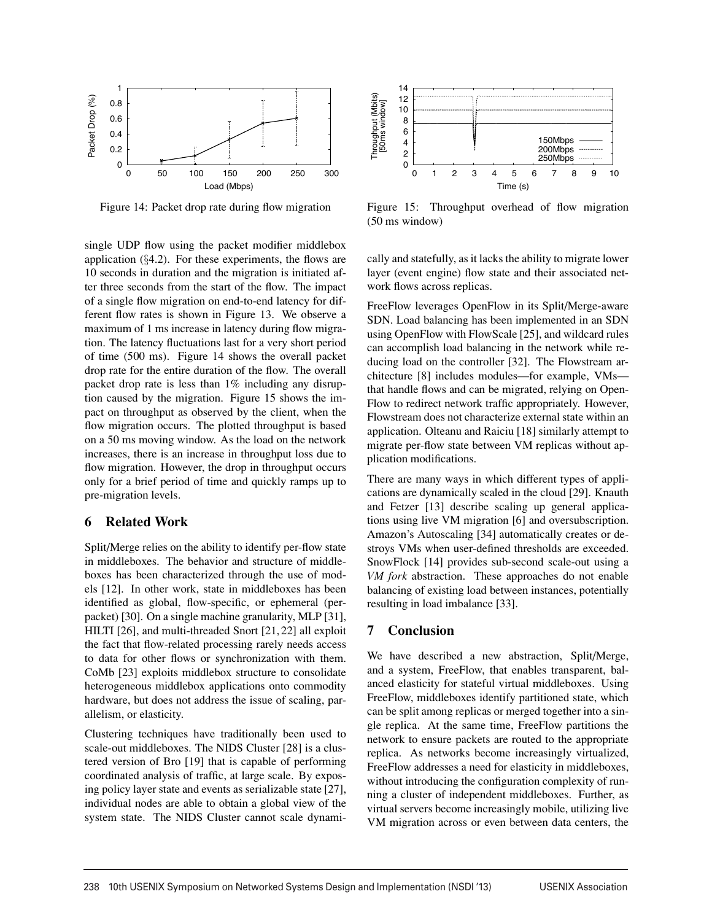

Figure 14: Packet drop rate during flow migration

single UDP flow using the packet modifier middlebox application  $(\S4.2)$ . For these experiments, the flows are 10 seconds in duration and the migration is initiated after three seconds from the start of the flow. The impact of a single flow migration on end-to-end latency for different flow rates is shown in Figure 13. We observe a maximum of 1 ms increase in latency during flow migration. The latency fluctuations last for a very short period of time (500 ms). Figure 14 shows the overall packet drop rate for the entire duration of the flow. The overall packet drop rate is less than 1% including any disruption caused by the migration. Figure 15 shows the impact on throughput as observed by the client, when the flow migration occurs. The plotted throughput is based on a 50 ms moving window. As the load on the network increases, there is an increase in throughput loss due to flow migration. However, the drop in throughput occurs only for a brief period of time and quickly ramps up to pre-migration levels.

## **6 Related Work**

Split/Merge relies on the ability to identify per-flow state in middleboxes. The behavior and structure of middleboxes has been characterized through the use of models [12]. In other work, state in middleboxes has been identified as global, flow-specific, or ephemeral (perpacket) [30]. On a single machine granularity, MLP [31], HILTI [26], and multi-threaded Snort [21, 22] all exploit the fact that flow-related processing rarely needs access to data for other flows or synchronization with them. CoMb [23] exploits middlebox structure to consolidate heterogeneous middlebox applications onto commodity hardware, but does not address the issue of scaling, parallelism, or elasticity.

Clustering techniques have traditionally been used to scale-out middleboxes. The NIDS Cluster [28] is a clustered version of Bro [19] that is capable of performing coordinated analysis of traffic, at large scale. By exposing policy layer state and events as serializable state [27], individual nodes are able to obtain a global view of the system state. The NIDS Cluster cannot scale dynami-



Figure 15: Throughput overhead of flow migration (50 ms window)

cally and statefully, as it lacks the ability to migrate lower layer (event engine) flow state and their associated network flows across replicas.

FreeFlow leverages OpenFlow in its Split/Merge-aware SDN. Load balancing has been implemented in an SDN using OpenFlow with FlowScale [25], and wildcard rules can accomplish load balancing in the network while reducing load on the controller [32]. The Flowstream architecture [8] includes modules—for example, VMs that handle flows and can be migrated, relying on Open-Flow to redirect network traffic appropriately. However, Flowstream does not characterize external state within an application. Olteanu and Raiciu [18] similarly attempt to migrate per-flow state between VM replicas without application modifications.

There are many ways in which different types of applications are dynamically scaled in the cloud [29]. Knauth and Fetzer [13] describe scaling up general applications using live VM migration [6] and oversubscription. Amazon's Autoscaling [34] automatically creates or destroys VMs when user-defined thresholds are exceeded. SnowFlock [14] provides sub-second scale-out using a *VM fork* abstraction. These approaches do not enable balancing of existing load between instances, potentially resulting in load imbalance [33].

## **7 Conclusion**

We have described a new abstraction, Split/Merge, and a system, FreeFlow, that enables transparent, balanced elasticity for stateful virtual middleboxes. Using FreeFlow, middleboxes identify partitioned state, which can be split among replicas or merged together into a single replica. At the same time, FreeFlow partitions the network to ensure packets are routed to the appropriate replica. As networks become increasingly virtualized, FreeFlow addresses a need for elasticity in middleboxes, without introducing the configuration complexity of running a cluster of independent middleboxes. Further, as virtual servers become increasingly mobile, utilizing live VM migration across or even between data centers, the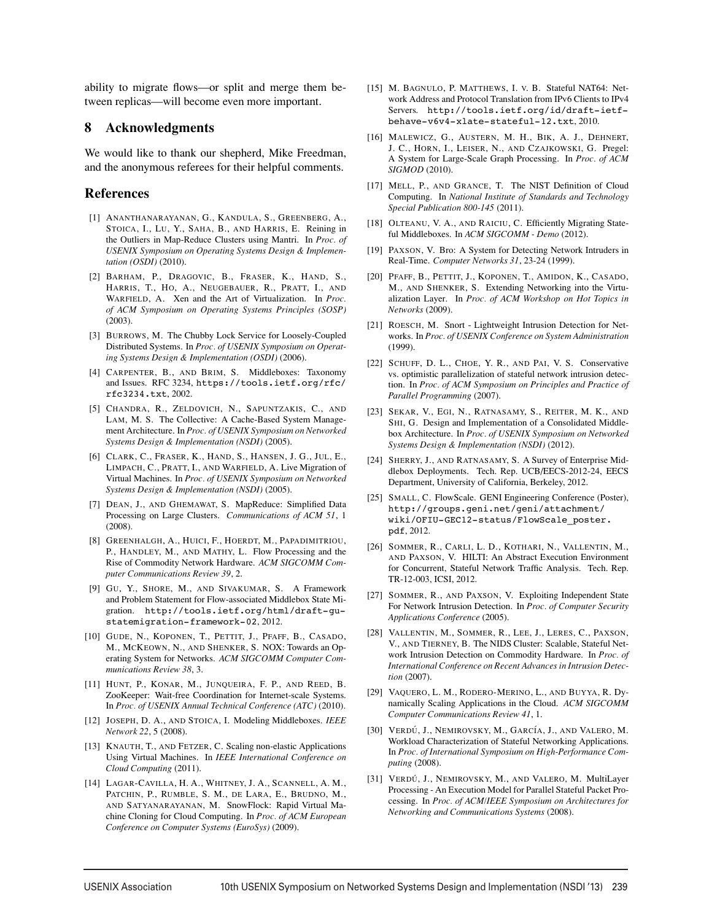ability to migrate flows—or split and merge them between replicas—will become even more important.

### **8 Acknowledgments**

We would like to thank our shepherd, Mike Freedman, and the anonymous referees for their helpful comments.

### **References**

- [1] ANANTHANARAYANAN, G., KANDULA, S., GREENBERG, A., STOICA, I., LU, Y., SAHA, B., AND HARRIS, E. Reining in the Outliers in Map-Reduce Clusters using Mantri. In *Proc. of USENIX Symposium on Operating Systems Design & Implementation (OSDI)* (2010).
- [2] BARHAM, P., DRAGOVIC, B., FRASER, K., HAND, S., HARRIS, T., HO, A., NEUGEBAUER, R., PRATT, I., AND WARFIELD, A. Xen and the Art of Virtualization. In *Proc. of ACM Symposium on Operating Systems Principles (SOSP)* (2003).
- [3] BURROWS, M. The Chubby Lock Service for Loosely-Coupled Distributed Systems. In *Proc. of USENIX Symposium on Operating Systems Design & Implementation (OSDI)* (2006).
- [4] CARPENTER, B., AND BRIM, S. Middleboxes: Taxonomy and Issues. RFC 3234, https://tools.ietf.org/rfc/ rfc3234.txt, 2002.
- [5] CHANDRA, R., ZELDOVICH, N., SAPUNTZAKIS, C., AND LAM, M. S. The Collective: A Cache-Based System Management Architecture. In *Proc. of USENIX Symposium on Networked Systems Design & Implementation (NSDI)* (2005).
- [6] CLARK, C., FRASER, K., HAND, S., HANSEN, J. G., JUL, E., LIMPACH, C., PRATT, I., AND WARFIELD, A. Live Migration of Virtual Machines. In *Proc. of USENIX Symposium on Networked Systems Design & Implementation (NSDI)* (2005).
- [7] DEAN, J., AND GHEMAWAT, S. MapReduce: Simplified Data Processing on Large Clusters. *Communications of ACM 51*, 1 (2008).
- [8] GREENHALGH, A., HUICI, F., HOERDT, M., PAPADIMITRIOU, P., HANDLEY, M., AND MATHY, L. Flow Processing and the Rise of Commodity Network Hardware. *ACM SIGCOMM Computer Communications Review 39*, 2.
- [9] GU, Y., SHORE, M., AND SIVAKUMAR, S. A Framework and Problem Statement for Flow-associated Middlebox State Migration. http://tools.ietf.org/html/draft-gustatemigration-framework-02, 2012.
- [10] GUDE, N., KOPONEN, T., PETTIT, J., PFAFF, B., CASADO, M., MCKEOWN, N., AND SHENKER, S. NOX: Towards an Operating System for Networks. *ACM SIGCOMM Computer Communications Review 38*, 3.
- [11] HUNT, P., KONAR, M., JUNQUEIRA, F. P., AND REED, B. ZooKeeper: Wait-free Coordination for Internet-scale Systems. In *Proc. of USENIX Annual Technical Conference (ATC)* (2010).
- [12] JOSEPH, D. A., AND STOICA, I. Modeling Middleboxes. *IEEE Network 22*, 5 (2008).
- [13] KNAUTH, T., AND FETZER, C. Scaling non-elastic Applications Using Virtual Machines. In *IEEE International Conference on Cloud Computing* (2011).
- [14] LAGAR-CAVILLA, H. A., WHITNEY, J. A., SCANNELL, A. M., PATCHIN, P., RUMBLE, S. M., DE LARA, E., BRUDNO, M., AND SATYANARAYANAN, M. SnowFlock: Rapid Virtual Machine Cloning for Cloud Computing. In *Proc. of ACM European Conference on Computer Systems (EuroSys)* (2009).
- [15] M. BAGNULO, P. MATTHEWS, I. V. B. Stateful NAT64: Network Address and Protocol Translation from IPv6 Clients to IPv4 Servers. http://tools.ietf.org/id/draft-ietfbehave-v6v4-xlate-stateful-12.txt, 2010.
- [16] MALEWICZ, G., AUSTERN, M. H., BIK, A. J., DEHNERT, J. C., HORN, I., LEISER, N., AND CZAJKOWSKI, G. Pregel: A System for Large-Scale Graph Processing. In *Proc. of ACM SIGMOD* (2010).
- [17] MELL, P., AND GRANCE, T. The NIST Definition of Cloud Computing. In *National Institute of Standards and Technology Special Publication 800-145* (2011).
- [18] OLTEANU, V. A., AND RAICIU, C. Efficiently Migrating Stateful Middleboxes. In *ACM SIGCOMM - Demo* (2012).
- [19] PAXSON, V. Bro: A System for Detecting Network Intruders in Real-Time. *Computer Networks 31*, 23-24 (1999).
- [20] PFAFF, B., PETTIT, J., KOPONEN, T., AMIDON, K., CASADO, M., AND SHENKER, S. Extending Networking into the Virtualization Layer. In *Proc. of ACM Workshop on Hot Topics in Networks* (2009).
- [21] ROESCH, M. Snort Lightweight Intrusion Detection for Networks. In *Proc. of USENIX Conference on System Administration* (1999).
- [22] SCHUFF, D. L., CHOE, Y. R., AND PAI, V. S. Conservative vs. optimistic parallelization of stateful network intrusion detection. In *Proc. of ACM Symposium on Principles and Practice of Parallel Programming* (2007).
- [23] SEKAR, V., EGI, N., RATNASAMY, S., REITER, M. K., AND SHI, G. Design and Implementation of a Consolidated Middlebox Architecture. In *Proc. of USENIX Symposium on Networked Systems Design & Implementation (NSDI)* (2012).
- [24] SHERRY, J., AND RATNASAMY, S. A Survey of Enterprise Middlebox Deployments. Tech. Rep. UCB/EECS-2012-24, EECS Department, University of California, Berkeley, 2012.
- [25] SMALL, C. FlowScale. GENI Engineering Conference (Poster), http://groups.geni.net/geni/attachment/ wiki/OFIU-GEC12-status/FlowScale\_poster. pdf, 2012.
- [26] SOMMER, R., CARLI, L. D., KOTHARI, N., VALLENTIN, M., AND PAXSON, V. HILTI: An Abstract Execution Environment for Concurrent, Stateful Network Traffic Analysis. Tech. Rep. TR-12-003, ICSI, 2012.
- [27] SOMMER, R., AND PAXSON, V. Exploiting Independent State For Network Intrusion Detection. In *Proc. of Computer Security Applications Conference* (2005).
- [28] VALLENTIN, M., SOMMER, R., LEE, J., LERES, C., PAXSON, V., AND TIERNEY, B. The NIDS Cluster: Scalable, Stateful Network Intrusion Detection on Commodity Hardware. In *Proc. of International Conference on Recent Advances in Intrusion Detection* (2007).
- [29] VAQUERO, L. M., RODERO-MERINO, L., AND BUYYA, R. Dynamically Scaling Applications in the Cloud. *ACM SIGCOMM Computer Communications Review 41*, 1.
- [30] VERDÚ, J., NEMIROVSKY, M., GARCÍA, J., AND VALERO, M. Workload Characterization of Stateful Networking Applications. In *Proc. of International Symposium on High-Performance Computing* (2008).
- [31] VERDÚ, J., NEMIROVSKY, M., AND VALERO, M. MultiLayer Processing - An Execution Model for Parallel Stateful Packet Processing. In *Proc. of ACM/IEEE Symposium on Architectures for Networking and Communications Systems* (2008).

 $\overline{a}$